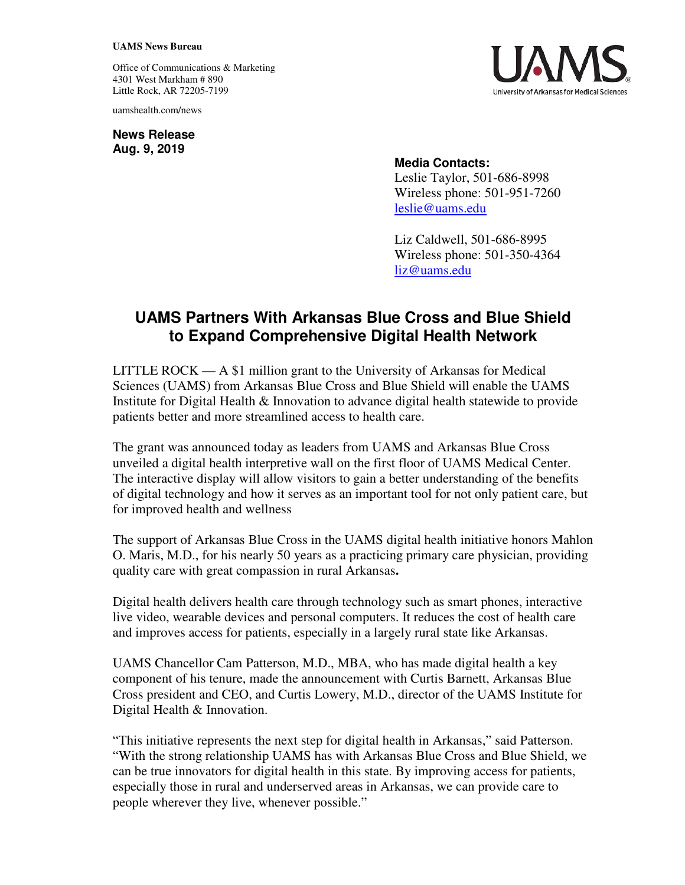## **UAMS News Bureau**

Office of Communications & Marketing 4301 West Markham # 890 Little Rock, AR 72205-7199

uamshealth.com/news

**News Release Aug. 9, 2019**



## **Media Contacts:**

Leslie Taylor, 501-686-8998 Wireless phone: 501-951-7260 [leslie@uams.edu](mailto:leslie@uams.edu)

Liz Caldwell, 501-686-8995 Wireless phone: 501-350-4364 [liz@uams.edu](mailto:liz@uams.edu)

## **UAMS Partners With Arkansas Blue Cross and Blue Shield to Expand Comprehensive Digital Health Network**

LITTLE ROCK — A \$1 million grant to the University of Arkansas for Medical Sciences (UAMS) from Arkansas Blue Cross and Blue Shield will enable the UAMS Institute for Digital Health & Innovation to advance digital health statewide to provide patients better and more streamlined access to health care.

The grant was announced today as leaders from UAMS and Arkansas Blue Cross unveiled a digital health interpretive wall on the first floor of UAMS Medical Center. The interactive display will allow visitors to gain a better understanding of the benefits of digital technology and how it serves as an important tool for not only patient care, but for improved health and wellness

The support of Arkansas Blue Cross in the UAMS digital health initiative honors Mahlon O. Maris, M.D., for his nearly 50 years as a practicing primary care physician, providing quality care with great compassion in rural Arkansas**.**

Digital health delivers health care through technology such as smart phones, interactive live video, wearable devices and personal computers. It reduces the cost of health care and improves access for patients, especially in a largely rural state like Arkansas.

UAMS Chancellor Cam Patterson, M.D., MBA, who has made digital health a key component of his tenure, made the announcement with Curtis Barnett, Arkansas Blue Cross president and CEO, and Curtis Lowery, M.D., director of the UAMS Institute for Digital Health & Innovation.

"This initiative represents the next step for digital health in Arkansas," said Patterson. "With the strong relationship UAMS has with Arkansas Blue Cross and Blue Shield, we can be true innovators for digital health in this state. By improving access for patients, especially those in rural and underserved areas in Arkansas, we can provide care to people wherever they live, whenever possible."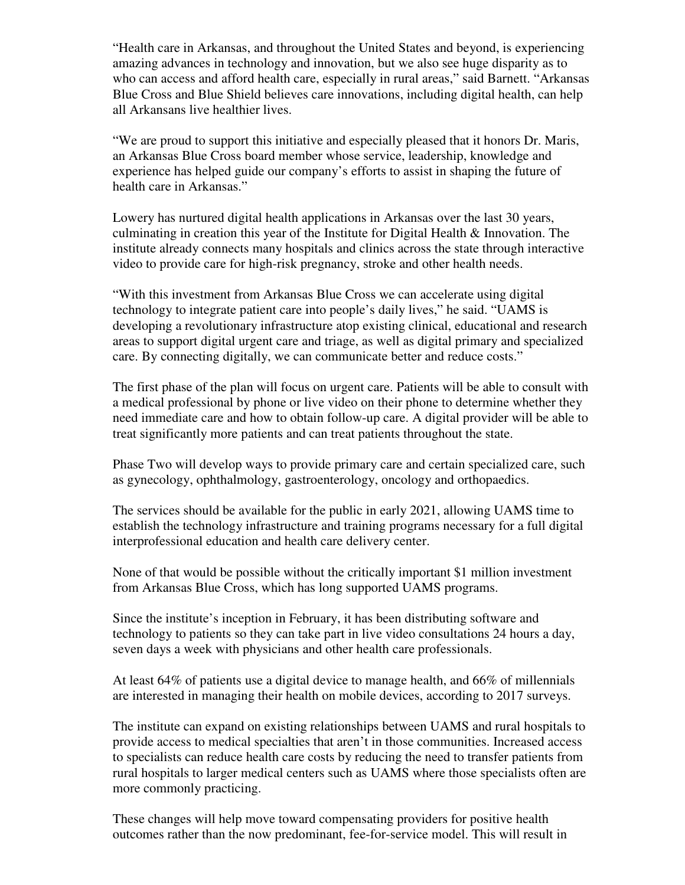"Health care in Arkansas, and throughout the United States and beyond, is experiencing amazing advances in technology and innovation, but we also see huge disparity as to who can access and afford health care, especially in rural areas," said Barnett. "Arkansas Blue Cross and Blue Shield believes care innovations, including digital health, can help all Arkansans live healthier lives.

"We are proud to support this initiative and especially pleased that it honors Dr. Maris, an Arkansas Blue Cross board member whose service, leadership, knowledge and experience has helped guide our company's efforts to assist in shaping the future of health care in Arkansas."

Lowery has nurtured digital health applications in Arkansas over the last 30 years, culminating in creation this year of the Institute for Digital Health & Innovation. The institute already connects many hospitals and clinics across the state through interactive video to provide care for high-risk pregnancy, stroke and other health needs.

"With this investment from Arkansas Blue Cross we can accelerate using digital technology to integrate patient care into people's daily lives," he said. "UAMS is developing a revolutionary infrastructure atop existing clinical, educational and research areas to support digital urgent care and triage, as well as digital primary and specialized care. By connecting digitally, we can communicate better and reduce costs."

The first phase of the plan will focus on urgent care. Patients will be able to consult with a medical professional by phone or live video on their phone to determine whether they need immediate care and how to obtain follow-up care. A digital provider will be able to treat significantly more patients and can treat patients throughout the state.

Phase Two will develop ways to provide primary care and certain specialized care, such as gynecology, ophthalmology, gastroenterology, oncology and orthopaedics.

The services should be available for the public in early 2021, allowing UAMS time to establish the technology infrastructure and training programs necessary for a full digital interprofessional education and health care delivery center.

None of that would be possible without the critically important \$1 million investment from Arkansas Blue Cross, which has long supported UAMS programs.

Since the institute's inception in February, it has been distributing software and technology to patients so they can take part in live video consultations 24 hours a day, seven days a week with physicians and other health care professionals.

At least 64% of patients use a digital device to manage health, and 66% of millennials are interested in managing their health on mobile devices, according to 2017 surveys.

The institute can expand on existing relationships between UAMS and rural hospitals to provide access to medical specialties that aren't in those communities. Increased access to specialists can reduce health care costs by reducing the need to transfer patients from rural hospitals to larger medical centers such as UAMS where those specialists often are more commonly practicing.

These changes will help move toward compensating providers for positive health outcomes rather than the now predominant, fee-for-service model. This will result in